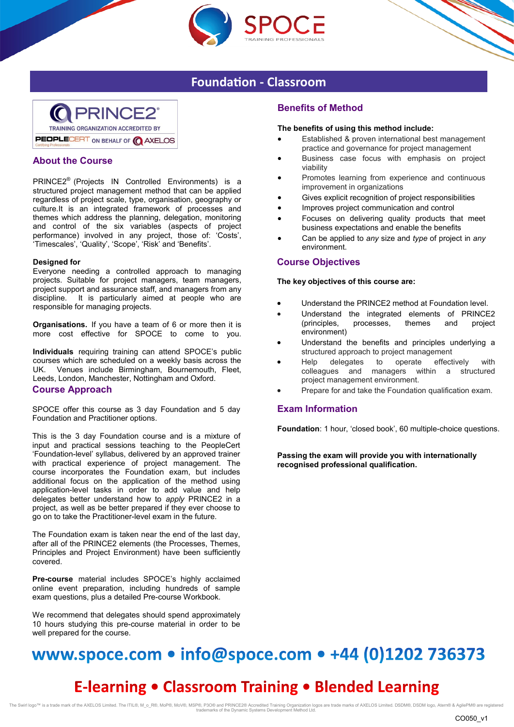

## **Foundation - Classroom**



## **About the Course**

PRINCE2® (Projects IN Controlled Environments) is a structured project management method that can be applied regardless of project scale, type, organisation, geography or culture.It is an integrated framework of processes and themes which address the planning, delegation, monitoring and control of the six variables (aspects of project performance) involved in any project, those of: 'Costs', 'Timescales', 'Quality', 'Scope', 'Risk' and 'Benefits'.

#### **Designed for**

Everyone needing a controlled approach to managing projects. Suitable for project managers, team managers, project support and assurance staff, and managers from any discipline. It is particularly aimed at people who are responsible for managing projects.

**Organisations.** If you have a team of 6 or more then it is more cost effective for SPOCE to come to you.

**Individuals** requiring training can attend SPOCE's public courses which are scheduled on a weekly basis across the UK. Venues include Birmingham, Bournemouth, Fleet, Leeds, London, Manchester, Nottingham and Oxford.

### **Course Approach**

SPOCE offer this course as 3 day Foundation and 5 day Foundation and Practitioner options.

This is the 3 day Foundation course and is a mixture of input and practical sessions teaching to the PeopleCert 'Foundation-level' syllabus, delivered by an approved trainer with practical experience of project management. The course incorporates the Foundation exam, but includes additional focus on the application of the method using application-level tasks in order to add value and help delegates better understand how to *apply* PRINCE2 in a project, as well as be better prepared if they ever choose to go on to take the Practitioner-level exam in the future.

The Foundation exam is taken near the end of the last day, after all of the PRINCE2 elements (the Processes, Themes, Principles and Project Environment) have been sufficiently covered.

**Pre-course** material includes SPOCE's highly acclaimed online event preparation, including hundreds of sample exam questions, plus a detailed Pre-course Workbook.

We recommend that delegates should spend approximately 10 hours studying this pre-course material in order to be well prepared for the course.

## **Benefits of Method**

#### **The benefits of using this method include:**

- Established & proven international best management practice and governance for project management
- Business case focus with emphasis on project viability
- Promotes learning from experience and continuous improvement in organizations
- Gives explicit recognition of project responsibilities
- Improves project communication and control
- Focuses on delivering quality products that meet business expectations and enable the benefits
- Can be applied to *any* size and *type* of project in *any*  environment.

### **Course Objectives**

**The key objectives of this course are:**

- Understand the PRINCE2 method at Foundation level.
- Understand the integrated elements of PRINCE2 (principles, processes, themes and project environment)
- Understand the benefits and principles underlying a structured approach to project management
- Help delegates to operate effectively with colleagues and managers within a structured project management environment.
- Prepare for and take the Foundation qualification exam.

### **Exam Information**

**Foundation**: 1 hour, 'closed book', 60 multiple-choice questions.

**Passing the exam will provide you with internationally recognised professional qualification.**

# www.spoce.com • info@spoce.com • +44 (0)1202 736373

# **E-learning . Classroom Training . Blended Learning**